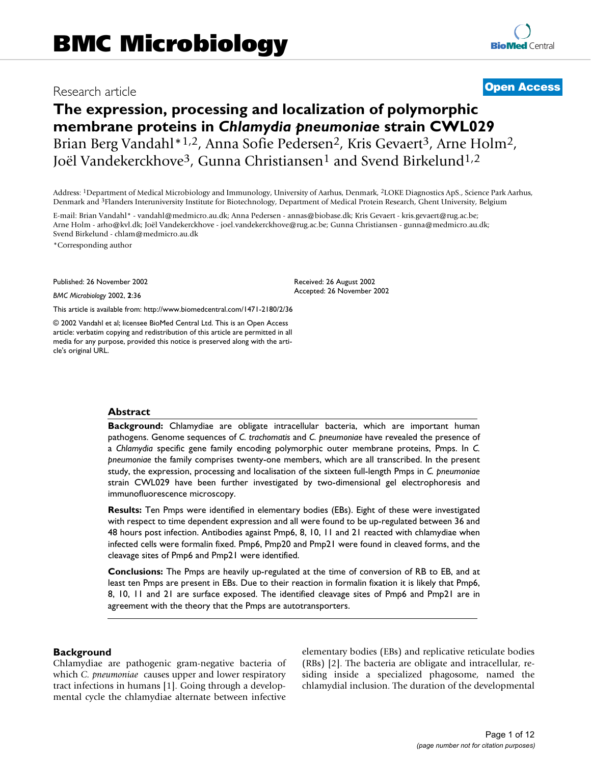# Research article **Contract Contract Contract Contract Contract Contract Contract Contract Contract Contract Contract Contract Contract Contract Contract Contract Contract Contract Contract Contract Contract Contract Contra**

# **The expression, processing and localization of polymorphic membrane proteins in** *Chlamydia pneumoniae* **strain CWL029** Brian Berg Vandahl\*<sup>1,2</sup>, Anna Sofie Pedersen<sup>2</sup>, Kris Gevaert<sup>3</sup>, Arne Holm<sup>2</sup>, Joël Vandekerckhove<sup>3</sup>, Gunna Christiansen<sup>1</sup> and Svend Birkelund<sup>1,2</sup>

Address: 1Department of Medical Microbiology and Immunology, University of Aarhus, Denmark, 2LOKE Diagnostics ApS., Science Park Aarhus, Denmark and 3Flanders Interuniversity Institute for Biotechnology, Department of Medical Protein Research, Ghent University, Belgium

> Received: 26 August 2002 Accepted: 26 November 2002

E-mail: Brian Vandahl\* - vandahl@medmicro.au.dk; Anna Pedersen - annas@biobase.dk; Kris Gevaert - kris.gevaert@rug.ac.be; Arne Holm - arho@kvl.dk; Joël Vandekerckhove - joel.vandekerckhove@rug.ac.be; Gunna Christiansen - gunna@medmicro.au.dk; Svend Birkelund - chlam@medmicro.au.dk

\*Corresponding author

Published: 26 November 2002

*BMC Microbiology* 2002, **2**:36

[This article is available from: http://www.biomedcentral.com/1471-2180/2/36](http://www.biomedcentral.com/1471-2180/2/36)

© 2002 Vandahl et al; licensee BioMed Central Ltd. This is an Open Access article: verbatim copying and redistribution of this article are permitted in all media for any purpose, provided this notice is preserved along with the article's original URL.

#### **Abstract**

**Background:** Chlamydiae are obligate intracellular bacteria, which are important human pathogens. Genome sequences of *C. trachomatis* and *C. pneumoniae* have revealed the presence of a *Chlamydia* specific gene family encoding polymorphic outer membrane proteins, Pmps. In *C. pneumoniae* the family comprises twenty-one members, which are all transcribed. In the present study, the expression, processing and localisation of the sixteen full-length Pmps in *C. pneumoniae* strain CWL029 have been further investigated by two-dimensional gel electrophoresis and immunofluorescence microscopy.

**Results:** Ten Pmps were identified in elementary bodies (EBs). Eight of these were investigated with respect to time dependent expression and all were found to be up-regulated between 36 and 48 hours post infection. Antibodies against Pmp6, 8, 10, 11 and 21 reacted with chlamydiae when infected cells were formalin fixed. Pmp6, Pmp20 and Pmp21 were found in cleaved forms, and the cleavage sites of Pmp6 and Pmp21 were identified.

**Conclusions:** The Pmps are heavily up-regulated at the time of conversion of RB to EB, and at least ten Pmps are present in EBs. Due to their reaction in formalin fixation it is likely that Pmp6, 8, 10, 11 and 21 are surface exposed. The identified cleavage sites of Pmp6 and Pmp21 are in agreement with the theory that the Pmps are autotransporters.

# **Background**

Chlamydiae are pathogenic gram-negative bacteria of which *C. pneumoniae* causes upper and lower respiratory tract infections in humans [1]. Going through a developmental cycle the chlamydiae alternate between infective elementary bodies (EBs) and replicative reticulate bodies (RBs) [2]. The bacteria are obligate and intracellular, residing inside a specialized phagosome, named the chlamydial inclusion. The duration of the developmental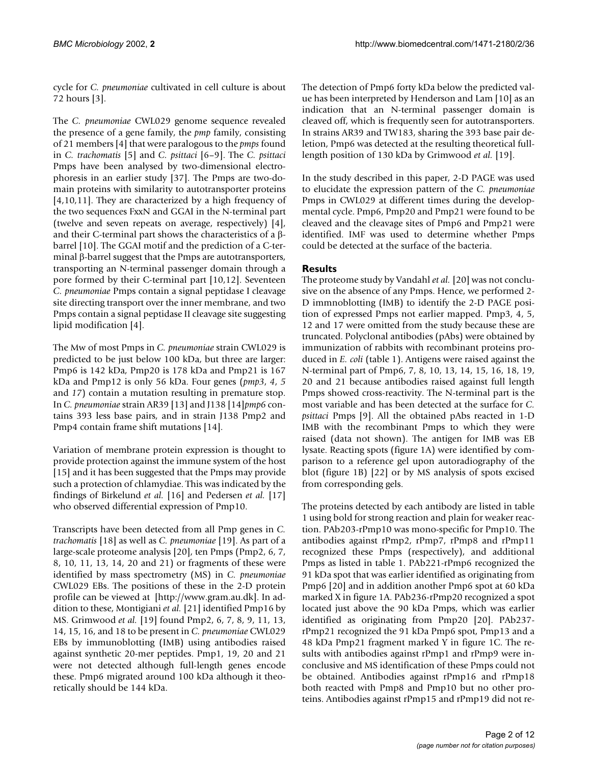cycle for *C. pneumoniae* cultivated in cell culture is about 72 hours [3].

The *C. pneumoniae* CWL029 genome sequence revealed the presence of a gene family, the *pmp* family, consisting of 21 members [4] that were paralogous to the *pmps* found in *C. trachomatis* [5] and *C. psittaci* [6–9]. The *C. psittaci* Pmps have been analysed by two-dimensional electrophoresis in an earlier study [37]. The Pmps are two-domain proteins with similarity to autotransporter proteins [4,10,11]. They are characterized by a high frequency of the two sequences FxxN and GGAI in the N-terminal part (twelve and seven repeats on average, respectively) [4], and their C-terminal part shows the characteristics of a βbarrel [10]. The GGAI motif and the prediction of a C-terminal β-barrel suggest that the Pmps are autotransporters, transporting an N-terminal passenger domain through a pore formed by their C-terminal part [10,12]. Seventeen *C. pneumoniae* Pmps contain a signal peptidase I cleavage site directing transport over the inner membrane, and two Pmps contain a signal peptidase II cleavage site suggesting lipid modification [4].

The Mw of most Pmps in *C. pneumoniae* strain CWL029 is predicted to be just below 100 kDa, but three are larger: Pmp6 is 142 kDa, Pmp20 is 178 kDa and Pmp21 is 167 kDa and Pmp12 is only 56 kDa. Four genes (*pmp3*, *4*, *5* and *17*) contain a mutation resulting in premature stop. In *C. pneumoniae* strain AR39 [13] and J138 [14]*pmp6* contains 393 less base pairs, and in strain J138 Pmp2 and Pmp4 contain frame shift mutations [14].

Variation of membrane protein expression is thought to provide protection against the immune system of the host [15] and it has been suggested that the Pmps may provide such a protection of chlamydiae. This was indicated by the findings of Birkelund *et al.* [16] and Pedersen *et al.* [17] who observed differential expression of Pmp10.

Transcripts have been detected from all Pmp genes in *C. trachomatis* [18] as well as *C. pneumoniae* [19]. As part of a large-scale proteome analysis [20], ten Pmps (Pmp2, 6, 7, 8, 10, 11, 13, 14, 20 and 21) or fragments of these were identified by mass spectrometry (MS) in *C. pneumoniae* [CWL029 EBs. The positions of these in the 2-D protein](http://www.gram.au.dk) profile can be viewed at [http://www.gram.au.dk]. In ad[dition to these, Montigiani](http://www.gram.au.dk) *et al.* [21] identified Pmp16 by MS. Grimwood *et al.* [19] found Pmp2, 6, 7, 8, 9, 11, 13, 14, 15, 16, and 18 to be present in *C. pneumoniae* CWL029 EBs by immunoblotting (IMB) using antibodies raised against synthetic 20-mer peptides. Pmp1, 19, 20 and 21 were not detected although full-length genes encode these. Pmp6 migrated around 100 kDa although it theoretically should be 144 kDa.

The detection of Pmp6 forty kDa below the predicted value has been interpreted by Henderson and Lam [10] as an indication that an N-terminal passenger domain is cleaved off, which is frequently seen for autotransporters. In strains AR39 and TW183, sharing the 393 base pair deletion, Pmp6 was detected at the resulting theoretical fulllength position of 130 kDa by Grimwood *et al.* [19].

In the study described in this paper, 2-D PAGE was used to elucidate the expression pattern of the *C. pneumoniae* Pmps in CWL029 at different times during the developmental cycle. Pmp6, Pmp20 and Pmp21 were found to be cleaved and the cleavage sites of Pmp6 and Pmp21 were identified. IMF was used to determine whether Pmps could be detected at the surface of the bacteria.

# **Results**

The proteome study by Vandahl *et al.* [20] was not conclusive on the absence of any Pmps. Hence, we performed 2- D immnoblotting (IMB) to identify the 2-D PAGE position of expressed Pmps not earlier mapped. Pmp3, 4, 5, 12 and 17 were omitted from the study because these are truncated. Polyclonal antibodies (pAbs) were obtained by immunization of rabbits with recombinant proteins produced in *E. coli* (table 1). Antigens were raised against the N-terminal part of Pmp6, 7, 8, 10, 13, 14, 15, 16, 18, 19, 20 and 21 because antibodies raised against full length Pmps showed cross-reactivity. The N-terminal part is the most variable and has been detected at the surface for *C. psittaci* Pmps [9]. All the obtained pAbs reacted in 1-D IMB with the recombinant Pmps to which they were raised (data not shown). The antigen for IMB was EB lysate. Reacting spots (figure [1](#page-2-0)A) were identified by comparison to a reference gel upon autoradiography of the blot (figure [1](#page-2-0)B) [22] or by MS analysis of spots excised from corresponding gels.

The proteins detected by each antibody are listed in table 1 using bold for strong reaction and plain for weaker reaction. PAb203-rPmp10 was mono-specific for Pmp10. The antibodies against rPmp2, rPmp7, rPmp8 and rPmp11 recognized these Pmps (respectively), and additional Pmps as listed in table 1. PAb221-rPmp6 recognized the 91 kDa spot that was earlier identified as originating from Pmp6 [20] and in addition another Pmp6 spot at 60 kDa marked X in figure [1A](#page-2-0). PAb236-rPmp20 recognized a spot located just above the 90 kDa Pmps, which was earlier identified as originating from Pmp20 [20]. PAb237 rPmp21 recognized the 91 kDa Pmp6 spot, Pmp13 and a 48 kDa Pmp21 fragment marked Y in figure [1C](#page-2-0). The results with antibodies against rPmp1 and rPmp9 were inconclusive and MS identification of these Pmps could not be obtained. Antibodies against rPmp16 and rPmp18 both reacted with Pmp8 and Pmp10 but no other proteins. Antibodies against rPmp15 and rPmp19 did not re-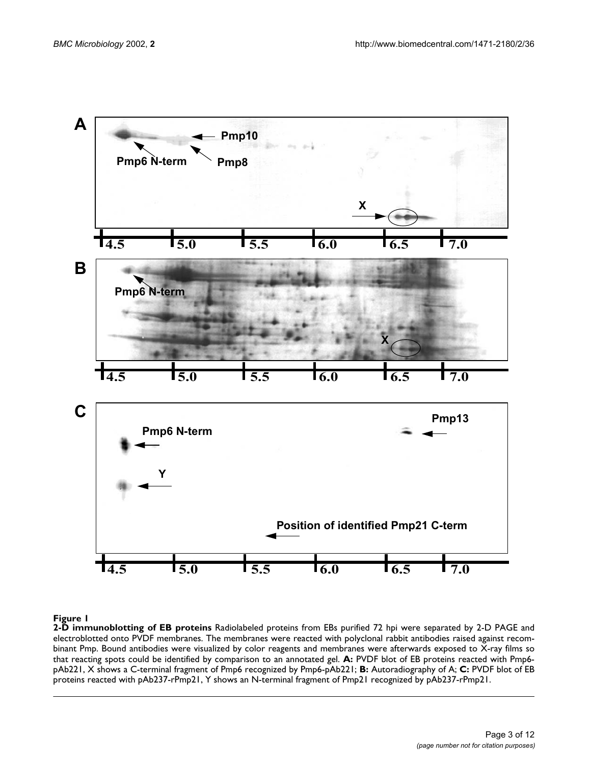<span id="page-2-0"></span>

**2-D immunoblotting of EB proteins** Radiolabeled proteins from EBs purified 72 hpi were separated by 2-D PAGE and electroblotted onto PVDF membranes. The membranes were reacted with polyclonal rabbit antibodies raised against recombinant Pmp. Bound antibodies were visualized by color reagents and membranes were afterwards exposed to X-ray films so that reacting spots could be identified by comparison to an annotated gel. **A:** PVDF blot of EB proteins reacted with Pmp6 pAb221, X shows a C-terminal fragment of Pmp6 recognized by Pmp6-pAb221; **B:** Autoradiography of A; **C:** PVDF blot of EB proteins reacted with pAb237-rPmp21, Y shows an N-terminal fragment of Pmp21 recognized by pAb237-rPmp21.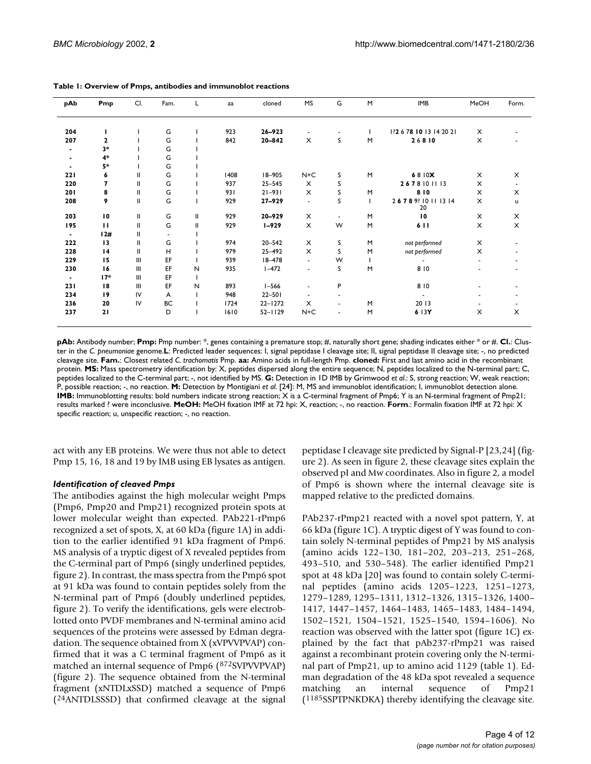| pAb | Pmp                      | CI.           | Fam.      | L | aa   | cloned      | <b>MS</b>      | G                        | M | <b>IMB</b>              | MeOH | Form. |
|-----|--------------------------|---------------|-----------|---|------|-------------|----------------|--------------------------|---|-------------------------|------|-------|
| 204 |                          |               | G         |   | 923  | $26 - 923$  | $\blacksquare$ | ۰                        |   | 12 6 78 10 13 14 20 21  | X    |       |
| 207 | $\mathbf{2}$             |               | G         |   | 842  | $20 - 842$  | X              | S                        | M | 26810                   | X    |       |
| ٠   | $3*$                     |               | G         |   |      |             |                |                          |   |                         |      |       |
| ٠   | $4*$                     |               | G         |   |      |             |                |                          |   |                         |      |       |
| ۰.  | $5*$                     |               | G         |   |      |             |                |                          |   |                         |      |       |
| 221 | 6                        | Ш             | G         |   | 1408 | $18 - 905$  | $N+C$          | S                        | M | 6810X                   | X    | X     |
| 220 | $\overline{\phantom{a}}$ | Ш             | G         |   | 937  | $25 - 545$  | X              | S                        |   | 2678101113              | X    | ۰     |
| 201 | 8                        | $\mathbf{II}$ | G         |   | 931  | $21 - 931$  | X              | S                        | M | 810                     | X    | X     |
| 208 | 9                        | Ш             | G         |   | 929  | 27-929      | $\blacksquare$ | S                        |   | 26789 10 11 13 14<br>20 | X    | u     |
| 203 | $\overline{10}$          | Ш             | G         | Ш | 929  | $20 - 929$  | X              | $\blacksquare$           | M | 10                      | X    | X     |
| 195 | $\mathbf{H}$             | Ш             | G         | Ш | 929  | $1 - 929$   | X              | W                        | M | 6 1 1                   | X    | X     |
| ۰.  | 12#                      | Ш             |           |   |      |             |                |                          |   |                         |      |       |
| 222 | 13                       | $\mathbf{II}$ | G         |   | 974  | $20 - 542$  | X              | S                        | M | not performed           | X    |       |
| 228 | $\overline{14}$          | $\mathbf{II}$ | H         |   | 979  | 25-492      | X              | S                        | M | not performed           | X    |       |
| 229 | 15                       | Ш             | EF        |   | 939  | $18 - 478$  | $\blacksquare$ | W                        |   |                         | ٠    |       |
| 230 | 16                       | Ш             | EF        | N | 935  | $1 - 472$   | ٠              | S                        | M | 810                     | ۰    |       |
| ٠.  | $17*$                    | Ш             | EF        |   |      |             |                |                          |   |                         |      |       |
| 231 | 18                       | Ш             | EF        | N | 893  | $I - 566$   | $\blacksquare$ | P                        |   | 810                     | ٠    |       |
| 234 | 19                       | IV            | A         |   | 948  | $22 - 501$  | ۰              |                          |   |                         |      |       |
| 236 | 20                       | IV            | <b>BC</b> |   | 1724 | $22 - 1272$ | X              | $\overline{\phantom{a}}$ | M | 20 13                   |      |       |
| 237 | 21                       |               | D         |   | 1610 | $52 - 1129$ | $N+C$          | $\overline{\phantom{a}}$ | M | 6 13Y                   | X    | X     |

**Table 1: Overview of Pmps, antibodies and immunoblot reactions**

**pAb:** Antibody number; **Pmp:** Pmp number: \*, genes containing a premature stop; #, naturally short gene; shading indicates either \* or #. **Cl.**: Cluster in the *C. pneumoniae* genome.**L**: Predicted leader sequences: I, signal peptidase I cleavage site; II, signal peptidase II cleavage site; -, no predicted cleavage site. **Fam.**: Closest related *C. trachomatis* Pmp. **aa:** Amino acids in full-length Pmp. **cloned:** First and last amino acid in the recombinant protein. MS: Mass spectrometry identification by: X, peptides dispersed along the entire sequence; N, peptides localized to the N-terminal part; C, peptides localized to the C-terminal part; -, not identified by MS. **G:** Detection in 1D IMB by Grimwood *et al*.: S, strong reaction; W, weak reaction; P, possible reaction; -, no reaction. **M:** Detection by Montigiani *et al.* [24]: M, MS and immunoblot identification; I, immunoblot detection alone. **IMB:** Immunoblotting results: bold numbers indicate strong reaction; X is a C-terminal fragment of Pmp6; Y is an N-terminal fragment of Pmp21; results marked ? were inconclusive. **MeOH:** MeOH fixation IMF at 72 hpi: X, reaction; -, no reaction. **Form**.: Formalin fixation IMF at 72 hpi: X specific reaction; u, unspecific reaction; -, no reaction.

act with any EB proteins. We were thus not able to detect Pmp 15, 16, 18 and 19 by IMB using EB lysates as antigen.

#### *Identification of cleaved Pmps*

The antibodies against the high molecular weight Pmps (Pmp6, Pmp20 and Pmp21) recognized protein spots at lower molecular weight than expected. PAb221-rPmp6 recognized a set of spots, X, at 60 kDa (figure [1A](#page-2-0)) in addition to the earlier identified 91 kDa fragment of Pmp6. MS analysis of a tryptic digest of X revealed peptides from the C-terminal part of Pmp6 (singly underlined peptides, figure [2\)](#page-4-0). In contrast, the mass spectra from the Pmp6 spot at 91 kDa was found to contain peptides solely from the N-terminal part of Pmp6 (doubly underlined peptides, figure [2](#page-4-0)). To verify the identifications, gels were electroblotted onto PVDF membranes and N-terminal amino acid sequences of the proteins were assessed by Edman degradation. The sequence obtained from X (xVPVVPVAP) confirmed that it was a C terminal fragment of Pmp6 as it matched an internal sequence of Pmp6 (872SVPVVPVAP) (figure [2\)](#page-4-0). The sequence obtained from the N-terminal fragment (xNTDLxSSD) matched a sequence of Pmp6 (24ANTDLSSSD) that confirmed cleavage at the signal

peptidase I cleavage site predicted by Signal-P [23,24] (figure [2\)](#page-4-0). As seen in figure [2](#page-4-0), these cleavage sites explain the observed pI and Mw coordinates. Also in figure [2,](#page-4-0) a model of Pmp6 is shown where the internal cleavage site is mapped relative to the predicted domains.

PAb237-rPmp21 reacted with a novel spot pattern, Y, at 66 kDa (figure [1](#page-2-0)C). A tryptic digest of Y was found to contain solely N-terminal peptides of Pmp21 by MS analysis (amino acids 122–130, 181–202, 203–213, 251–268, 493–510, and 530–548). The earlier identified Pmp21 spot at 48 kDa [20] was found to contain solely C-terminal peptides (amino acids 1205–1223, 1251–1273, 1279–1289, 1295–1311, 1312–1326, 1315–1326, 1400– 1417, 1447–1457, 1464–1483, 1465–1483, 1484–1494, 1502–1521, 1504–1521, 1525–1540, 1594–1606). No reaction was observed with the latter spot (figure [1C](#page-2-0)) explained by the fact that pAb237-rPmp21 was raised against a recombinant protein covering only the N-terminal part of Pmp21, up to amino acid 1129 (table 1). Edman degradation of the 48 kDa spot revealed a sequence matching an internal sequence of Pmp21 (1185SSPTPNKDKA) thereby identifying the cleavage site.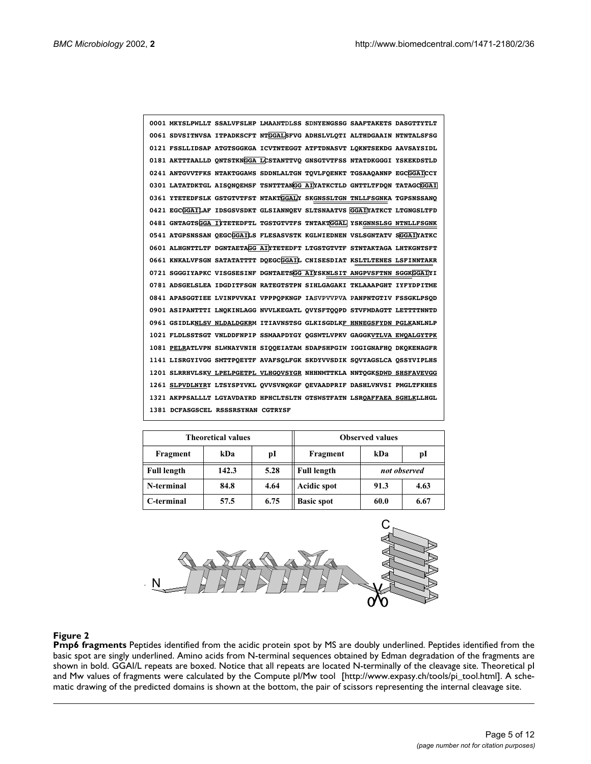<span id="page-4-0"></span>

| 0001 MKYSLPWLLT SSALVFSLHP LMAANTDLSS SDNYENGSSG SAAFTAKETS DASGTTYTLT |
|------------------------------------------------------------------------|
| 0061 SDVSITNVSA ITPADKSCFT NTGGALSFVG ADHSLVLOTI ALTHDGAAIN NTNTALSFSG |
| 0121 FSSLLIDSAP ATGTSGGKGA ICVTNTEGGT ATFTDNASVT LOKNTSEKDG AAVSAYSIDL |
| 0181 AKTTTAALLD ONTSTKNGGA LCSTANTTVO GNSGTVTFSS NTATDKGGGI YSKEKDSTLD |
| 0241 ANTGVVTFKS NTAKTGGAWS SDDNLALTGN TOVLFOENKT TGSAAOANNP EGCGGAICCY |
| 0301 LATATDKTGL AISONOEMSF TSNTTTANGG AIYATKCTLD GNTTLTFDON TATAGCGGAI |
| 0361 YTETEDFSLK GSTGTVTFST NTAKTGGALY SKGNSSLTGN TNLLFSGNKA TGPSNSSANO |
| 0421 EGCGGAILAF IDSGSVSDKT GLSIANNOEV SLTSNAATVS GGAIYATKCT LTGNGSLTFD |
| 0481 GNTAGTSGGA IYTETEDFTL TGSTGTVTFS TNTAKTGGAL YSKGNNSLSG NTNLLFSGNK |
| 0541 ATGPSNSSAN OEGCGGAILS FLESASVSTK KGLWIEDNEN VSLSGNTATV SGGAIYATKC |
| 0601 ALHGNTTLTF DGNTAETAGG AINTETEDFT LTGSTGTVTF STNTAKTAGA LHTKGNTSFT |
| 0661 KNKALVFSGN SATATATTTT DOEGCGGAIL CNISESDIAT KSLTLTENES LSFINNTAKR |
| 0721 SGGGIYAPKC VISGSESINF DGNTAETSGG AINSKNLSIT ANGPVSFTNN SGGKGGAINI |
|                                                                        |
| 0781 ADSGELSLEA IDGDITFSGN RATEGTSTPN SIHLGAGAKI TKLAAAPGHT IYFYDPITME |
| 0841 APASGGTIEE LVINPVVKAI VPPPOPKNGP IASVPVVPVA PANPNTGTIV FSSGKLPSOD |
| 0901 ASIPANTTTI LNOKINLAGG NVVLKEGATL OVYSFTOOPD STVFMDAGTT LETTTTNNTD |
| 0961 GSIDLKNLSV NLDALDGKRM ITIAVNSTSG GLKISGDLKF HNNEGSFYDN PGLKANLNLP |
| 1021 FLDLSSTSGT VNLDDFNPIP SSMAAPDYGY OGSWTLVPKV GAGGKVTLVA EWOALGYTPK |
| 1081 PELRATLVPN SLWNAYVNIH SIQOEIATAM SDAPSHPGIW IGGIGNAFHO DKOKENAGFR |
| 1141 LISRGYIVGG SMTTPOEYTF AVAFSOLFGK SKDYVVSDIK SOVYAGSLCA OSSYVIPLHS |
| 1201 SLRRHVLSKV LPELPGETPL VLHGOVSYGR NHHNMTTKLA NNTOGKSDWD SHSFAVEVGG |
| 1261 SLPVDLNYRY LTSYSPYVKL OVVSVNOKGF OEVAADPRIF DASHLVNVSI PMGLTFKHES |
| 1321 AKPPSALLLT LGYAVDAYRD HPHCLTSLTN GTSWSTFATN LSROAFFAEA SGHLKLLHGL |

|                    | <b>Theoretical values</b> |      | <b>Observed values</b> |              |      |  |
|--------------------|---------------------------|------|------------------------|--------------|------|--|
| Fragment           | kDa                       | pI   | Fragment               | kDa          | pI   |  |
| <b>Full length</b> | 142.3                     | 5.28 | <b>Full length</b>     | not observed |      |  |
| N-terminal         | 84.8                      | 4.64 | <b>Acidic spot</b>     | 91.3         | 4.63 |  |
| C-terminal         | 57.5                      | 6.75 | <b>Basic spot</b>      | 60.0         | 6.67 |  |



**Pmp6 fragments** [Peptides identified from the acidic protein spot by MS are doubly underlined. Peptides identified from the](http://www.expasy.ch/tools/pi_tool.html) basic spot are singly underlined. Amino acids from N-terminal sequences obtained by Edman degradation of the fragments are shown in bold. GGAI/L repeats are boxed. Notice that all repeats are located N-terminally of the cleavage site. Theoretical pI [and Mw values of fragments were calculated by the Compute pI/Mw tool \[http://www.expasy.ch/tools/pi\\_tool.html\]. A sche](http://www.expasy.ch/tools/pi_tool.html)matic drawing of the predicted domains is shown at the bottom, the pair of scissors representing the internal cleavage site.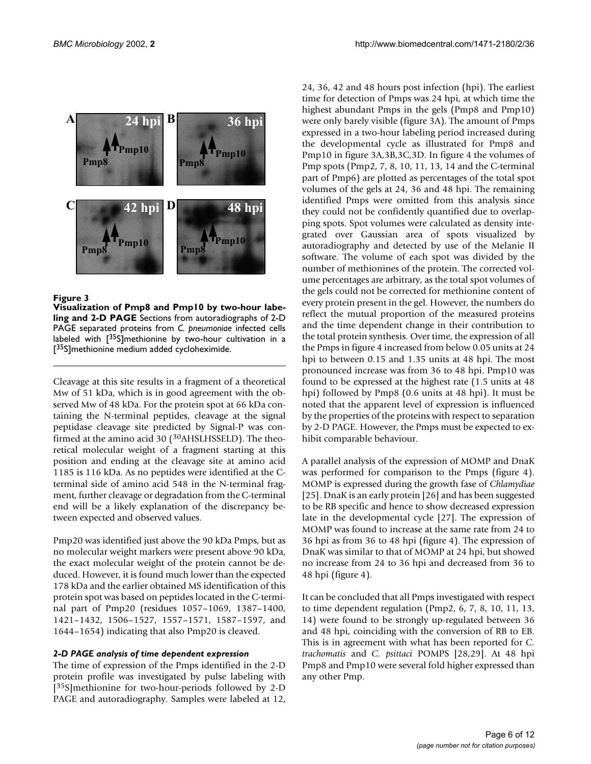

**Visualization of Pmp8 and Pmp10 by two-hour labeling and 2-D PAGE** Sections from autoradiographs of 2-D PAGE separated proteins from *C. pneumoniae* infected cells labeled with  $[35S]$ methionine by two-hour cultivation in a [<sup>35</sup>S]methionine medium added cycloheximide.

Cleavage at this site results in a fragment of a theoretical Mw of 51 kDa, which is in good agreement with the observed Mw of 48 kDa. For the protein spot at 66 kDa containing the N-terminal peptides, cleavage at the signal peptidase cleavage site predicted by Signal-P was confirmed at the amino acid 30 (<sup>30</sup>AHSLHSSELD). The theoretical molecular weight of a fragment starting at this position and ending at the cleavage site at amino acid 1185 is 116 kDa. As no peptides were identified at the Cterminal side of amino acid 548 in the N-terminal fragment, further cleavage or degradation from the C-terminal end will be a likely explanation of the discrepancy between expected and observed values.

Pmp20 was identified just above the 90 kDa Pmps, but as no molecular weight markers were present above 90 kDa, the exact molecular weight of the protein cannot be deduced. However, it is found much lower than the expected 178 kDa and the earlier obtained MS identification of this protein spot was based on peptides located in the C-terminal part of Pmp20 (residues 1057–1069, 1387–1400, 1421–1432, 1506–1527, 1557–1571, 1587–1597, and 1644–1654) indicating that also Pmp20 is cleaved.

#### *2-D PAGE analysis of time dependent expression*

The time of expression of the Pmps identified in the 2-D protein profile was investigated by pulse labeling with [35S]methionine for two-hour-periods followed by 2-D PAGE and autoradiography. Samples were labeled at 12, 24, 36, 42 and 48 hours post infection (hpi). The earliest time for detection of Pmps was 24 hpi, at which time the highest abundant Pmps in the gels (Pmp8 and Pmp10) were only barely visible (figure 3A). The amount of Pmps expressed in a two-hour labeling period increased during the developmental cycle as illustrated for Pmp8 and Pmp10 in figure 3A,3B,3C,3D. In figure [4](#page-6-0) the volumes of Pmp spots (Pmp2, 7, 8, 10, 11, 13, 14 and the C-terminal part of Pmp6) are plotted as percentages of the total spot volumes of the gels at 24, 36 and 48 hpi. The remaining identified Pmps were omitted from this analysis since they could not be confidently quantified due to overlapping spots. Spot volumes were calculated as density integrated over Gaussian area of spots visualized by autoradiography and detected by use of the Melanie II software. The volume of each spot was divided by the number of methionines of the protein. The corrected volume percentages are arbitrary, as the total spot volumes of the gels could not be corrected for methionine content of every protein present in the gel. However, the numbers do reflect the mutual proportion of the measured proteins and the time dependent change in their contribution to the total protein synthesis. Over time, the expression of all the Pmps in figure [4](#page-6-0) increased from below 0.05 units at 24 hpi to between 0.15 and 1.35 units at 48 hpi. The most pronounced increase was from 36 to 48 hpi. Pmp10 was found to be expressed at the highest rate (1.5 units at 48 hpi) followed by Pmp8 (0.6 units at 48 hpi). It must be noted that the apparent level of expression is influenced by the properties of the proteins with respect to separation by 2-D PAGE. However, the Pmps must be expected to exhibit comparable behaviour.

A parallel analysis of the expression of MOMP and DnaK was performed for comparison to the Pmps (figure [4\)](#page-6-0). MOMP is expressed during the growth fase of *Chlamydiae* [25]. DnaK is an early protein [26] and has been suggested to be RB specific and hence to show decreased expression late in the developmental cycle [27]. The expression of MOMP was found to increase at the same rate from 24 to 36 hpi as from 36 to 48 hpi (figure [4\)](#page-6-0). The expression of DnaK was similar to that of MOMP at 24 hpi, but showed no increase from 24 to 36 hpi and decreased from 36 to 48 hpi (figure [4](#page-6-0)).

It can be concluded that all Pmps investigated with respect to time dependent regulation (Pmp2, 6, 7, 8, 10, 11, 13, 14) were found to be strongly up-regulated between 36 and 48 hpi, coinciding with the conversion of RB to EB. This is in agreement with what has been reported for *C. trachomatis* and *C. psittaci* POMPS [28,29]. At 48 hpi Pmp8 and Pmp10 were several fold higher expressed than any other Pmp.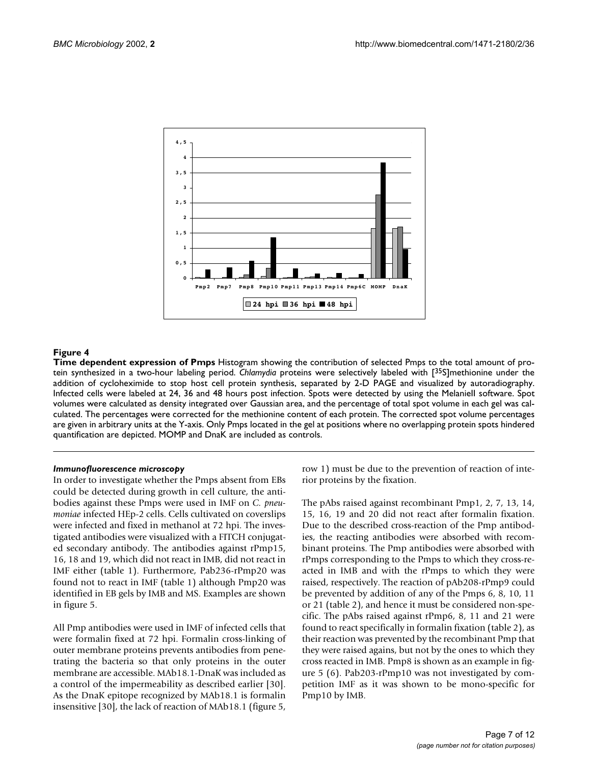<span id="page-6-0"></span>

**Time dependent expression of Pmps** Histogram showing the contribution of selected Pmps to the total amount of protein synthesized in a two-hour labeling period. *Chlamydia* proteins were selectively labeled with [35S]methionine under the addition of cycloheximide to stop host cell protein synthesis, separated by 2-D PAGE and visualized by autoradiography. Infected cells were labeled at 24, 36 and 48 hours post infection. Spots were detected by using the Melaniell software. Spot volumes were calculated as density integrated over Gaussian area, and the percentage of total spot volume in each gel was calculated. The percentages were corrected for the methionine content of each protein. The corrected spot volume percentages are given in arbitrary units at the Y-axis. Only Pmps located in the gel at positions where no overlapping protein spots hindered quantification are depicted. MOMP and DnaK are included as controls.

#### *Immunofluorescence microscopy*

In order to investigate whether the Pmps absent from EBs could be detected during growth in cell culture, the antibodies against these Pmps were used in IMF on *C. pneumoniae* infected HEp-2 cells. Cells cultivated on coverslips were infected and fixed in methanol at 72 hpi. The investigated antibodies were visualized with a FITCH conjugated secondary antibody. The antibodies against rPmp15, 16, 18 and 19, which did not react in IMB, did not react in IMF either (table 1). Furthermore, Pab236-rPmp20 was found not to react in IMF (table 1) although Pmp20 was identified in EB gels by IMB and MS. Examples are shown in figure [5](#page-7-0).

All Pmp antibodies were used in IMF of infected cells that were formalin fixed at 72 hpi. Formalin cross-linking of outer membrane proteins prevents antibodies from penetrating the bacteria so that only proteins in the outer membrane are accessible. MAb18.1-DnaK was included as a control of the impermeability as described earlier [30]. As the DnaK epitope recognized by MAb18.1 is formalin insensitive [30], the lack of reaction of MAb18.1 (figure [5,](#page-7-0)

row 1) must be due to the prevention of reaction of interior proteins by the fixation.

The pAbs raised against recombinant Pmp1, 2, 7, 13, 14, 15, 16, 19 and 20 did not react after formalin fixation. Due to the described cross-reaction of the Pmp antibodies, the reacting antibodies were absorbed with recombinant proteins. The Pmp antibodies were absorbed with rPmps corresponding to the Pmps to which they cross-reacted in IMB and with the rPmps to which they were raised, respectively. The reaction of pAb208-rPmp9 could be prevented by addition of any of the Pmps 6, 8, 10, 11 or 21 (table 2), and hence it must be considered non-specific. The pAbs raised against rPmp6, 8, 11 and 21 were found to react specifically in formalin fixation (table 2), as their reaction was prevented by the recombinant Pmp that they were raised agains, but not by the ones to which they cross reacted in IMB. Pmp8 is shown as an example in figure [5](#page-7-0) (6). Pab203-rPmp10 was not investigated by competition IMF as it was shown to be mono-specific for Pmp10 by IMB.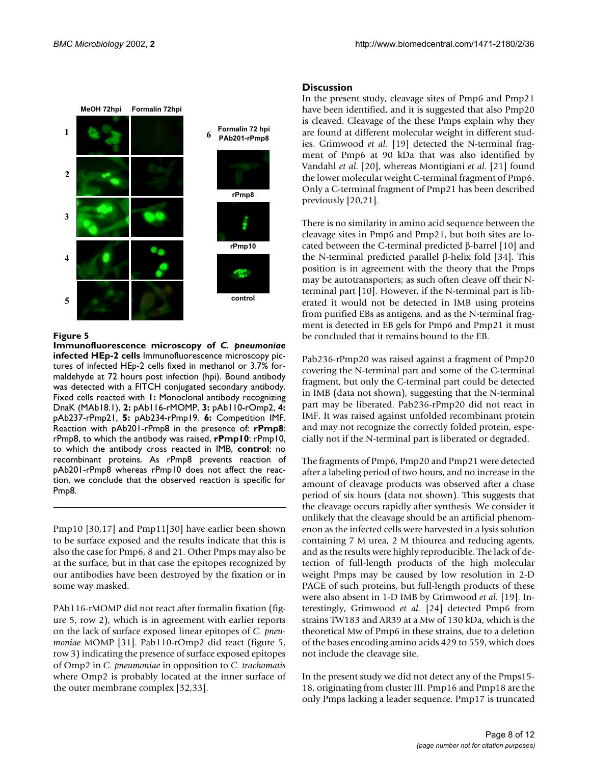<span id="page-7-0"></span>

**Immunofluorescence microscopy of** *C. pneumoniae* **infected HEp-2 cells** Immunofluorescence microscopy pictures of infected HEp-2 cells fixed in methanol or 3.7% formaldehyde at 72 hours post infection (hpi). Bound antibody was detected with a FITCH conjugated secondary antibody. Fixed cells reacted with **1:** Monoclonal antibody recognizing DnaK (MAb18.1), **2:** pAb116-rMOMP, **3:** pAb110-rOmp2, **4:** pAb237-rPmp21, **5:** pAb234-rPmp19. **6:** Competition IMF. Reaction with pAb201-rPmp8 in the presence of: **rPmp8**: rPmp8, to which the antibody was raised, **rPmp10**: rPmp10, to which the antibody cross reacted in IMB, **control**: no recombinant proteins. As rPmp8 prevents reaction of pAb201-rPmp8 whereas rPmp10 does not affect the reaction, we conclude that the observed reaction is specific for Pmp8.

Pmp10 [30,17] and Pmp11[30] have earlier been shown to be surface exposed and the results indicate that this is also the case for Pmp6, 8 and 21. Other Pmps may also be at the surface, but in that case the epitopes recognized by our antibodies have been destroyed by the fixation or in some way masked.

PAb116-rMOMP did not react after formalin fixation (figure [5](#page-7-0), row 2), which is in agreement with earlier reports on the lack of surface exposed linear epitopes of *C. pneumoniae* MOMP [31]. Pab110-rOmp2 did react (figure [5,](#page-7-0) row 3) indicating the presence of surface exposed epitopes of Omp2 in *C. pneumoniae* in opposition to *C. trachomatis* where Omp2 is probably located at the inner surface of the outer membrane complex [32,33].

### **Discussion**

In the present study, cleavage sites of Pmp6 and Pmp21 have been identified, and it is suggested that also Pmp20 is cleaved. Cleavage of the these Pmps explain why they are found at different molecular weight in different studies. Grimwood *et al.* [19] detected the N-terminal fragment of Pmp6 at 90 kDa that was also identified by Vandahl *et al*. [20], whereas Montigiani *et al*. [21] found the lower molecular weight C-terminal fragment of Pmp6. Only a C-terminal fragment of Pmp21 has been described previously [20,21].

There is no similarity in amino acid sequence between the cleavage sites in Pmp6 and Pmp21, but both sites are located between the C-terminal predicted β-barrel [10] and the N-terminal predicted parallel β-helix fold [34]. This position is in agreement with the theory that the Pmps may be autotransporters; as such often cleave off their Nterminal part [10]. However, if the N-terminal part is liberated it would not be detected in IMB using proteins from purified EBs as antigens, and as the N-terminal fragment is detected in EB gels for Pmp6 and Pmp21 it must be concluded that it remains bound to the EB.

Pab236-rPmp20 was raised against a fragment of Pmp20 covering the N-terminal part and some of the C-terminal fragment, but only the C-terminal part could be detected in IMB (data not shown), suggesting that the N-terminal part may be liberated. Pab236-rPmp20 did not react in IMF. It was raised against unfolded recombinant protein and may not recognize the correctly folded protein, especially not if the N-terminal part is liberated or degraded.

The fragments of Pmp6, Pmp20 and Pmp21 were detected after a labeling period of two hours, and no increase in the amount of cleavage products was observed after a chase period of six hours (data not shown). This suggests that the cleavage occurs rapidly after synthesis. We consider it unlikely that the cleavage should be an artificial phenomenon as the infected cells were harvested in a lysis solution containing 7 M urea, 2 M thiourea and reducing agents, and as the results were highly reproducible. The lack of detection of full-length products of the high molecular weight Pmps may be caused by low resolution in 2-D PAGE of such proteins, but full-length products of these were also absent in 1-D IMB by Grimwood *et al.* [19]. Interestingly, Grimwood *et al.* [24] detected Pmp6 from strains TW183 and AR39 at a Mw of 130 kDa, which is the theoretical Mw of Pmp6 in these strains, due to a deletion of the bases encoding amino acids 429 to 559, which does not include the cleavage site.

In the present study we did not detect any of the Pmps15- 18, originating from cluster III. Pmp16 and Pmp18 are the only Pmps lacking a leader sequence. Pmp17 is truncated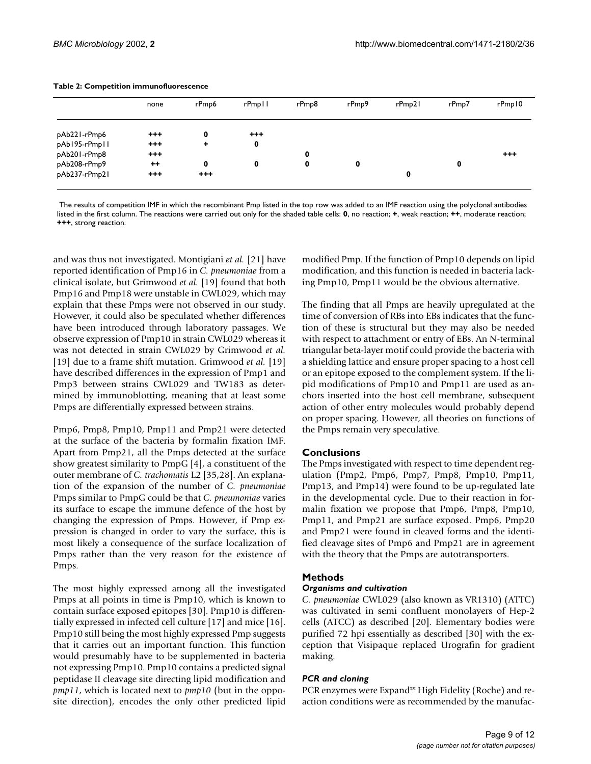|               | none     | rPmp6   | rPmpll  | rPmp8 | rPmp9 | rPmp21 | rPmp7 | rPmp10   |
|---------------|----------|---------|---------|-------|-------|--------|-------|----------|
| pAb221-rPmp6  | $^{++}$  | 0       | $^{++}$ |       |       |        |       |          |
| pAb195-rPmp11 | $^{+++}$ | ٠       | 0       |       |       |        |       |          |
| pAb201-rPmp8  | $^{+++}$ |         |         | 0     |       |        |       | $^{+++}$ |
| pAb208-rPmp9  | $++$     | 0       | 0       | 0     | 0     |        | 0     |          |
| pAb237-rPmp21 | $^{++}$  | $^{++}$ |         |       |       | 0      |       |          |

#### **Table 2: Competition immunofluorescence**

 The results of competition IMF in which the recombinant Pmp listed in the top row was added to an IMF reaction using the polyclonal antibodies listed in the first column. The reactions were carried out only for the shaded table cells: **0**, no reaction; **+**, weak reaction; **++**, moderate reaction; **+++**, strong reaction.

and was thus not investigated. Montigiani *et al.* [21] have reported identification of Pmp16 in *C. pneumoniae* from a clinical isolate, but Grimwood *et al.* [19] found that both Pmp16 and Pmp18 were unstable in CWL029, which may explain that these Pmps were not observed in our study. However, it could also be speculated whether differences have been introduced through laboratory passages. We observe expression of Pmp10 in strain CWL029 whereas it was not detected in strain CWL029 by Grimwood *et al.* [19] due to a frame shift mutation. Grimwood *et al.* [19] have described differences in the expression of Pmp1 and Pmp3 between strains CWL029 and TW183 as determined by immunoblotting, meaning that at least some Pmps are differentially expressed between strains.

Pmp6, Pmp8, Pmp10, Pmp11 and Pmp21 were detected at the surface of the bacteria by formalin fixation IMF. Apart from Pmp21, all the Pmps detected at the surface show greatest similarity to PmpG [4], a constituent of the outer membrane of *C. trachomatis* L2 [35,28]. An explanation of the expansion of the number of *C. pneumoniae* Pmps similar to PmpG could be that *C. pneumoniae* varies its surface to escape the immune defence of the host by changing the expression of Pmps. However, if Pmp expression is changed in order to vary the surface, this is most likely a consequence of the surface localization of Pmps rather than the very reason for the existence of Pmps.

The most highly expressed among all the investigated Pmps at all points in time is Pmp10, which is known to contain surface exposed epitopes [30]. Pmp10 is differentially expressed in infected cell culture [17] and mice [16]. Pmp10 still being the most highly expressed Pmp suggests that it carries out an important function. This function would presumably have to be supplemented in bacteria not expressing Pmp10. Pmp10 contains a predicted signal peptidase II cleavage site directing lipid modification and *pmp11*, which is located next to *pmp10* (but in the opposite direction), encodes the only other predicted lipid modified Pmp. If the function of Pmp10 depends on lipid modification, and this function is needed in bacteria lacking Pmp10, Pmp11 would be the obvious alternative.

The finding that all Pmps are heavily upregulated at the time of conversion of RBs into EBs indicates that the function of these is structural but they may also be needed with respect to attachment or entry of EBs. An N-terminal triangular beta-layer motif could provide the bacteria with a shielding lattice and ensure proper spacing to a host cell or an epitope exposed to the complement system. If the lipid modifications of Pmp10 and Pmp11 are used as anchors inserted into the host cell membrane, subsequent action of other entry molecules would probably depend on proper spacing. However, all theories on functions of the Pmps remain very speculative.

# **Conclusions**

The Pmps investigated with respect to time dependent regulation (Pmp2, Pmp6, Pmp7, Pmp8, Pmp10, Pmp11, Pmp13, and Pmp14) were found to be up-regulated late in the developmental cycle. Due to their reaction in formalin fixation we propose that Pmp6, Pmp8, Pmp10, Pmp11, and Pmp21 are surface exposed. Pmp6, Pmp20 and Pmp21 were found in cleaved forms and the identified cleavage sites of Pmp6 and Pmp21 are in agreement with the theory that the Pmps are autotransporters.

# **Methods**

# *Organisms and cultivation*

*C. pneumoniae* CWL029 (also known as VR1310) (ATTC) was cultivated in semi confluent monolayers of Hep-2 cells (ATCC) as described [20]. Elementary bodies were purified 72 hpi essentially as described [30] with the exception that Visipaque replaced Urografin for gradient making.

# *PCR and cloning*

PCR enzymes were Expand™ High Fidelity (Roche) and reaction conditions were as recommended by the manufac-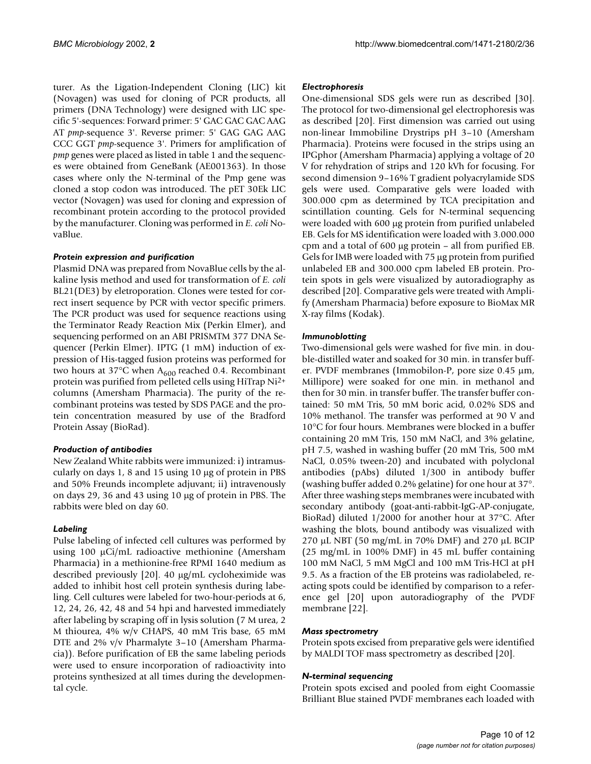turer. As the Ligation-Independent Cloning (LIC) kit (Novagen) was used for cloning of PCR products, all primers (DNA Technology) were designed with LIC specific 5'-sequences: Forward primer: 5' GAC GAC GAC AAG AT *pmp*-sequence 3'. Reverse primer: 5' GAG GAG AAG CCC GGT *pmp*-sequence 3'. Primers for amplification of *pmp* genes were placed as listed in table 1 and the sequences were obtained from GeneBank (AE001363). In those cases where only the N-terminal of the Pmp gene was cloned a stop codon was introduced. The pET 30Ek LIC vector (Novagen) was used for cloning and expression of recombinant protein according to the protocol provided by the manufacturer. Cloning was performed in *E. coli* NovaBlue.

#### *Protein expression and purification*

Plasmid DNA was prepared from NovaBlue cells by the alkaline lysis method and used for transformation of *E. coli* BL21(DE3) by eletroporation. Clones were tested for correct insert sequence by PCR with vector specific primers. The PCR product was used for sequence reactions using the Terminator Ready Reaction Mix (Perkin Elmer), and sequencing performed on an ABI PRISMTM 377 DNA Sequencer (Perkin Elmer). IPTG (1 mM) induction of expression of His-tagged fusion proteins was performed for two hours at 37°C when  $A_{600}$  reached 0.4. Recombinant protein was purified from pelleted cells using HiTrap Ni2+ columns (Amersham Pharmacia). The purity of the recombinant proteins was tested by SDS PAGE and the protein concentration measured by use of the Bradford Protein Assay (BioRad).

# *Production of antibodies*

New Zealand White rabbits were immunized: i) intramuscularly on days 1, 8 and 15 using 10 µg of protein in PBS and 50% Freunds incomplete adjuvant; ii) intravenously on days 29, 36 and 43 using 10 µg of protein in PBS. The rabbits were bled on day 60.

# *Labeling*

Pulse labeling of infected cell cultures was performed by using 100 µCi/mL radioactive methionine (Amersham Pharmacia) in a methionine-free RPMI 1640 medium as described previously [20]. 40 µg/mL cycloheximide was added to inhibit host cell protein synthesis during labeling. Cell cultures were labeled for two-hour-periods at 6, 12, 24, 26, 42, 48 and 54 hpi and harvested immediately after labeling by scraping off in lysis solution (7 M urea, 2 M thiourea, 4% w/v CHAPS, 40 mM Tris base, 65 mM DTE and 2% v/v Pharmalyte 3–10 (Amersham Pharmacia)). Before purification of EB the same labeling periods were used to ensure incorporation of radioactivity into proteins synthesized at all times during the developmental cycle.

#### *Electrophoresis*

One-dimensional SDS gels were run as described [30]. The protocol for two-dimensional gel electrophoresis was as described [20]. First dimension was carried out using non-linear Immobiline Drystrips pH 3–10 (Amersham Pharmacia). Proteins were focused in the strips using an IPGphor (Amersham Pharmacia) applying a voltage of 20 V for rehydration of strips and 120 kVh for focusing. For second dimension 9–16% T gradient polyacrylamide SDS gels were used. Comparative gels were loaded with 300.000 cpm as determined by TCA precipitation and scintillation counting. Gels for N-terminal sequencing were loaded with 600 µg protein from purified unlabeled EB. Gels for MS identification were loaded with 3.000.000 cpm and a total of 600 µg protein – all from purified EB. Gels for IMB were loaded with 75 µg protein from purified unlabeled EB and 300.000 cpm labeled EB protein. Protein spots in gels were visualized by autoradiography as described [20]. Comparative gels were treated with Amplify (Amersham Pharmacia) before exposure to BioMax MR X-ray films (Kodak).

#### *Immunoblotting*

Two-dimensional gels were washed for five min. in double-distilled water and soaked for 30 min. in transfer buffer. PVDF membranes (Immobilon-P, pore size 0.45 µm, Millipore) were soaked for one min. in methanol and then for 30 min. in transfer buffer. The transfer buffer contained: 50 mM Tris, 50 mM boric acid, 0.02% SDS and 10% methanol. The transfer was performed at 90 V and 10°C for four hours. Membranes were blocked in a buffer containing 20 mM Tris, 150 mM NaCl, and 3% gelatine, pH 7.5, washed in washing buffer (20 mM Tris, 500 mM NaCl, 0.05% tween-20) and incubated with polyclonal antibodies (pAbs) diluted 1/300 in antibody buffer (washing buffer added 0.2% gelatine) for one hour at 37°. After three washing steps membranes were incubated with secondary antibody (goat-anti-rabbit-IgG-AP-conjugate, BioRad) diluted 1/2000 for another hour at 37°C. After washing the blots, bound antibody was visualized with 270 µL NBT (50 mg/mL in 70% DMF) and 270 µL BCIP (25 mg/mL in 100% DMF) in 45 mL buffer containing 100 mM NaCl, 5 mM MgCl and 100 mM Tris-HCl at pH 9.5. As a fraction of the EB proteins was radiolabeled, reacting spots could be identified by comparison to a reference gel [20] upon autoradiography of the PVDF membrane [22].

#### *Mass spectrometry*

Protein spots excised from preparative gels were identified by MALDI TOF mass spectrometry as described [20].

#### *N-terminal sequencing*

Protein spots excised and pooled from eight Coomassie Brilliant Blue stained PVDF membranes each loaded with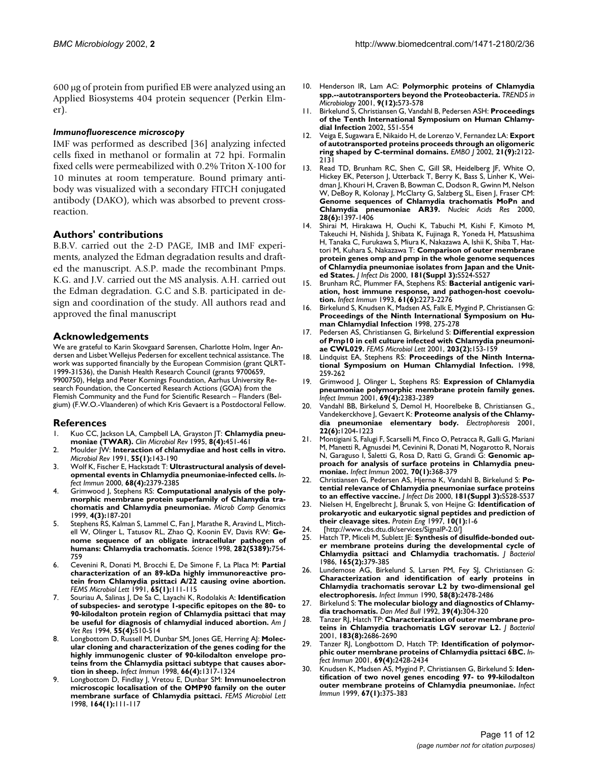600 µg of protein from purified EB were analyzed using an Applied Biosystems 404 protein sequencer (Perkin Elmer).

#### *Immunofluorescence microscopy*

IMF was performed as described [36] analyzing infected cells fixed in methanol or formalin at 72 hpi. Formalin fixed cells were permeabilized with 0.2% Triton X-100 for 10 minutes at room temperature. Bound primary antibody was visualized with a secondary FITCH conjugated antibody (DAKO), which was absorbed to prevent crossreaction.

# **Authors' contributions**

B.B.V. carried out the 2-D PAGE, IMB and IMF experiments, analyzed the Edman degradation results and drafted the manuscript. A.S.P. made the recombinant Pmps. K.G. and J.V. carried out the MS analysis. A.H. carried out the Edman degradation. G.C and S.B. participated in design and coordination of the study. All authors read and approved the final manuscript

#### **Acknowledgements**

We are grateful to Karin Skovgaard Sørensen, Charlotte Holm, Inger Andersen and Lisbet Wellejus Pedersen for excellent technical assistance. The work was supported financially by the European Commision (grant QLRT-1999-31536), the Danish Health Research Council (grants 9700659, 9900750), Helga and Peter Kornings Foundation, Aarhus University Research Foundation, the Concerted Research Actions (GOA) from the Flemish Community and the Fund for Scientific Research – Flanders (Belgium) (F.W.O.-Vlaanderen) of which Kris Gevaert is a Postdoctoral Fellow.

# **References**

- 1. [Kuo CC, Jackson LA, Campbell LA, Grayston JT:](http://www.ncbi.nlm.nih.gov/entrez/query.fcgi?cmd=Retrieve&db=PubMed&dopt=Abstract&list_uids=8665464) **[Chlamydia pneu](http://www.ncbi.nlm.nih.gov/entrez/query.fcgi?cmd=Retrieve&db=PubMed&dopt=Abstract&list_uids=8665464)[moniae \(TWAR\).](http://www.ncbi.nlm.nih.gov/entrez/query.fcgi?cmd=Retrieve&db=PubMed&dopt=Abstract&list_uids=8665464)** *Clin Microbiol Rev* 1995, **8(4):**451-461
- 2. [Moulder JW:](http://www.ncbi.nlm.nih.gov/entrez/query.fcgi?cmd=Retrieve&db=PubMed&dopt=Abstract&list_uids=2030670) **[Interaction of chlamydiae and host cells in vitro.](http://www.ncbi.nlm.nih.gov/entrez/query.fcgi?cmd=Retrieve&db=PubMed&dopt=Abstract&list_uids=2030670)** *Microbiol Rev* 1991, **55(1):**143-190
- 3. [Wolf K, Fischer E, Hackstadt T:](http://www.ncbi.nlm.nih.gov/entrez/query.fcgi?cmd=Retrieve&db=PubMed&dopt=Abstract&list_uids=10.1128/IAI.68.4.2379-2385.2000) **[Ultrastructural analysis of devel](http://www.ncbi.nlm.nih.gov/entrez/query.fcgi?cmd=Retrieve&db=PubMed&dopt=Abstract&list_uids=97433)[opmental events in Chlamydia pneumoniae-infected cells.](http://www.ncbi.nlm.nih.gov/entrez/query.fcgi?cmd=Retrieve&db=PubMed&dopt=Abstract&list_uids=97433)** *Infect Immun* 2000, **68(4):**2379-2385
- 4. [Grimwood J, Stephens RS:](http://www.ncbi.nlm.nih.gov/entrez/query.fcgi?cmd=Retrieve&db=PubMed&dopt=Abstract&list_uids=10587946) **[Computational analysis of the poly](http://www.ncbi.nlm.nih.gov/entrez/query.fcgi?cmd=Retrieve&db=PubMed&dopt=Abstract&list_uids=10587946)[morphic membrane protein superfamily of Chlamydia tra](http://www.ncbi.nlm.nih.gov/entrez/query.fcgi?cmd=Retrieve&db=PubMed&dopt=Abstract&list_uids=10587946)[chomatis and Chlamydia pneumoniae.](http://www.ncbi.nlm.nih.gov/entrez/query.fcgi?cmd=Retrieve&db=PubMed&dopt=Abstract&list_uids=10587946)** *Microb Comp Genomics* 1999, **4(3):**187-201
- Stephens RS, Kalman S, Lammel C, Fan J, Marathe R, Aravind L, Mitch[ell W, Olinger L, Tatusov RL, Zhao Q, Koonin EV, Davis RW:](http://www.ncbi.nlm.nih.gov/entrez/query.fcgi?cmd=Retrieve&db=PubMed&dopt=Abstract&list_uids=9784136) **[Ge](http://www.ncbi.nlm.nih.gov/entrez/query.fcgi?cmd=Retrieve&db=PubMed&dopt=Abstract&list_uids=10.1126/science.282.5389.754)[nome sequence of an obligate intracellular pathogen of](http://www.ncbi.nlm.nih.gov/entrez/query.fcgi?cmd=Retrieve&db=PubMed&dopt=Abstract&list_uids=10.1126/science.282.5389.754) [humans: Chlamydia trachomatis.](http://www.ncbi.nlm.nih.gov/entrez/query.fcgi?cmd=Retrieve&db=PubMed&dopt=Abstract&list_uids=10.1126/science.282.5389.754)** *Science* 1998, **282(5389):**754- 759
- 6. [Cevenini R, Donati M, Brocchi E, De Simone F, La Placa M:](http://www.ncbi.nlm.nih.gov/entrez/query.fcgi?cmd=Retrieve&db=PubMed&dopt=Abstract&list_uids=1714846) **[Partial](http://www.ncbi.nlm.nih.gov/entrez/query.fcgi?cmd=Retrieve&db=PubMed&dopt=Abstract&list_uids=1714846) characterization of an 89-kDa highly immunoreactive pro[tein from Chlamydia psittaci A/22 causing ovine abortion.](http://www.ncbi.nlm.nih.gov/entrez/query.fcgi?cmd=Retrieve&db=PubMed&dopt=Abstract&list_uids=1714846)** *FEMS Microbiol Lett* 1991, **65(1):**111-115
- 7. [Souriau A, Salinas J, De Sa C, Layachi K, Rodolakis A:](http://www.ncbi.nlm.nih.gov/entrez/query.fcgi?cmd=Retrieve&db=PubMed&dopt=Abstract&list_uids=7517111) **[Identification](http://www.ncbi.nlm.nih.gov/entrez/query.fcgi?cmd=Retrieve&db=PubMed&dopt=Abstract&list_uids=7517111) of subspecies- and serotype 1-specific epitopes on the 80- to [90-kilodalton protein region of Chlamydia psittaci that may](http://www.ncbi.nlm.nih.gov/entrez/query.fcgi?cmd=Retrieve&db=PubMed&dopt=Abstract&list_uids=7517111) [be useful for diagnosis of chlamydial induced abortion.](http://www.ncbi.nlm.nih.gov/entrez/query.fcgi?cmd=Retrieve&db=PubMed&dopt=Abstract&list_uids=7517111)** *Am J Vet Res* 1994, **55(4):**510-514
- 8. [Longbottom D, Russell M, Dunbar SM, Jones GE, Herring AJ:](http://www.ncbi.nlm.nih.gov/entrez/query.fcgi?cmd=Retrieve&db=PubMed&dopt=Abstract&list_uids=9529048) **[Molec](http://www.ncbi.nlm.nih.gov/entrez/query.fcgi?cmd=Retrieve&db=PubMed&dopt=Abstract&list_uids=108055)ular cloning and characterization of the genes coding for the [highly immunogenic cluster of 90-kilodalton envelope pro](http://www.ncbi.nlm.nih.gov/entrez/query.fcgi?cmd=Retrieve&db=PubMed&dopt=Abstract&list_uids=108055)teins from the Chlamydia psittaci subtype that causes abor[tion in sheep.](http://www.ncbi.nlm.nih.gov/entrez/query.fcgi?cmd=Retrieve&db=PubMed&dopt=Abstract&list_uids=108055)** *Infect Immun* 1998, **66(4):**1317-1324
- 9. [Longbottom D, Findlay J, Vretou E, Dunbar SM:](http://www.ncbi.nlm.nih.gov/entrez/query.fcgi?cmd=Retrieve&db=PubMed&dopt=Abstract&list_uids=9675857) **[Immunoelectron](http://www.ncbi.nlm.nih.gov/entrez/query.fcgi?cmd=Retrieve&db=PubMed&dopt=Abstract&list_uids=10.1016/S0378-1097(98)00187-6) [microscopic localisation of the OMP90 family on the outer](http://www.ncbi.nlm.nih.gov/entrez/query.fcgi?cmd=Retrieve&db=PubMed&dopt=Abstract&list_uids=10.1016/S0378-1097(98)00187-6) [membrane surface of Chlamydia psittaci.](http://www.ncbi.nlm.nih.gov/entrez/query.fcgi?cmd=Retrieve&db=PubMed&dopt=Abstract&list_uids=10.1016/S0378-1097(98)00187-6)** *FEMS Microbiol Lett* 1998, **164(1):**111-117
- 10. [Henderson IR, Lam AC:](http://www.ncbi.nlm.nih.gov/entrez/query.fcgi?cmd=Retrieve&db=PubMed&dopt=Abstract&list_uids=11728862) **[Polymorphic proteins of Chlamydia](http://www.ncbi.nlm.nih.gov/entrez/query.fcgi?cmd=Retrieve&db=PubMed&dopt=Abstract&list_uids=10.1016/S0966-842X(01)02234-X) [spp.--autotransporters beyond the Proteobacteria.](http://www.ncbi.nlm.nih.gov/entrez/query.fcgi?cmd=Retrieve&db=PubMed&dopt=Abstract&list_uids=10.1016/S0966-842X(01)02234-X)** *TRENDS in Microbiology* 2001, **9(12):**573-578
- 11. Birkelund S, Christiansen G, Vandahl B, Pedersen ASH: **Proceedings of the Tenth International Symposium on Human Chlamydial Infection** 2002, 551-554
- 12. [Veiga E, Sugawara E, Nikaido H, de Lorenzo V, Fernandez LA:](http://www.ncbi.nlm.nih.gov/entrez/query.fcgi?cmd=Retrieve&db=PubMed&dopt=Abstract&list_uids=11980709) **[Export](http://www.ncbi.nlm.nih.gov/entrez/query.fcgi?cmd=Retrieve&db=PubMed&dopt=Abstract&list_uids=125980) [of autotransported proteins proceeds through an oligomeric](http://www.ncbi.nlm.nih.gov/entrez/query.fcgi?cmd=Retrieve&db=PubMed&dopt=Abstract&list_uids=125980) [ring shaped by C-terminal domains.](http://www.ncbi.nlm.nih.gov/entrez/query.fcgi?cmd=Retrieve&db=PubMed&dopt=Abstract&list_uids=125980)** *EMBO J* 2002, **21(9):**2122- 2131
- 13. [Read TD, Brunham RC, Shen C, Gill SR, Heidelberg JF, White O,](http://www.ncbi.nlm.nih.gov/entrez/query.fcgi?cmd=Retrieve&db=PubMed&dopt=Abstract&list_uids=10.1093/nar/28.6.1397) Hickey EK, Peterson J, Utterback T, Berry K, Bass S, Linher K, Wei[dman J, Khouri H, Craven B, Bowman C, Dodson R, Gwinn M, Nelson](http://www.ncbi.nlm.nih.gov/entrez/query.fcgi?cmd=Retrieve&db=PubMed&dopt=Abstract&list_uids=10.1093/nar/28.6.1397) W, DeBoy R, Kolonay J, McClarty G, Salzberg SL, Eisen J, Fraser CM: **[Genome sequences of Chlamydia trachomatis MoPn and](http://www.ncbi.nlm.nih.gov/entrez/query.fcgi?cmd=Retrieve&db=PubMed&dopt=Abstract&list_uids=111046) [Chlamydia pneumoniae AR39.](http://www.ncbi.nlm.nih.gov/entrez/query.fcgi?cmd=Retrieve&db=PubMed&dopt=Abstract&list_uids=111046)** *Nucleic Acids Res* 2000, **28(6):**1397-1406
- 14. [Shirai M, Hirakawa H, Ouchi K, Tabuchi M, Kishi F, Kimoto M,](http://www.ncbi.nlm.nih.gov/entrez/query.fcgi?cmd=Retrieve&db=PubMed&dopt=Abstract&list_uids=10839753) [Takeuchi H, Nishida J, Shibata K, Fujinaga R, Yoneda H, Matsushima](http://www.ncbi.nlm.nih.gov/entrez/query.fcgi?cmd=Retrieve&db=PubMed&dopt=Abstract&list_uids=10839753) H, Tanaka C, Furukawa S, Miura K, Nakazawa A, Ishii K, Shiba T, Hat[tori M, Kuhara S, Nakazawa T:](http://www.ncbi.nlm.nih.gov/entrez/query.fcgi?cmd=Retrieve&db=PubMed&dopt=Abstract&list_uids=10839753) **[Comparison of outer membrane](http://www.ncbi.nlm.nih.gov/entrez/query.fcgi?cmd=Retrieve&db=PubMed&dopt=Abstract&list_uids=10.1086/315616) protein genes omp and pmp in the whole genome sequences [of Chlamydia pneumoniae isolates from Japan and the Unit](http://www.ncbi.nlm.nih.gov/entrez/query.fcgi?cmd=Retrieve&db=PubMed&dopt=Abstract&list_uids=10.1086/315616)[ed States.](http://www.ncbi.nlm.nih.gov/entrez/query.fcgi?cmd=Retrieve&db=PubMed&dopt=Abstract&list_uids=10.1086/315616)** *J Infect Dis* 2000, **181(Suppl 3):**S524-S527
- 15. [Brunham RC, Plummer FA, Stephens RS:](http://www.ncbi.nlm.nih.gov/entrez/query.fcgi?cmd=Retrieve&db=PubMed&dopt=Abstract&list_uids=8500868) **[Bacterial antigenic vari](http://www.ncbi.nlm.nih.gov/entrez/query.fcgi?cmd=Retrieve&db=PubMed&dopt=Abstract&list_uids=8500868)[ation, host immune response, and pathogen-host coevolu](http://www.ncbi.nlm.nih.gov/entrez/query.fcgi?cmd=Retrieve&db=PubMed&dopt=Abstract&list_uids=8500868)[tion.](http://www.ncbi.nlm.nih.gov/entrez/query.fcgi?cmd=Retrieve&db=PubMed&dopt=Abstract&list_uids=8500868)** *Infect Immun* 1993, **61(6):**2273-2276
- Birkelund S, Knudsen K, Madsen AS, Falk E, Mygind P, Christiansen G: **Proceedings of the Ninth International Symposium on Human Chlamydial Infection** 1998, 275-278
- 17. [Pedersen AS, Christiansen G, Birkelund S:](http://www.ncbi.nlm.nih.gov/entrez/query.fcgi?cmd=Retrieve&db=PubMed&dopt=Abstract&list_uids=11583841) **[Differential expression](http://www.ncbi.nlm.nih.gov/entrez/query.fcgi?cmd=Retrieve&db=PubMed&dopt=Abstract&list_uids=11583841) [of Pmp10 in cell culture infected with Chlamydia pneumoni](http://www.ncbi.nlm.nih.gov/entrez/query.fcgi?cmd=Retrieve&db=PubMed&dopt=Abstract&list_uids=11583841)[ae CWL029.](http://www.ncbi.nlm.nih.gov/entrez/query.fcgi?cmd=Retrieve&db=PubMed&dopt=Abstract&list_uids=11583841)** *FEMS Microbiol Lett* 2001, **203(2):**153-159
- 18. Lindquist EA, Stephens RS: **Proceedings of the Ninth International Symposium on Human Chlamydial Infection.** 1998, 259-262
- 19. [Grimwood J, Olinger L, Stephens RS:](http://www.ncbi.nlm.nih.gov/entrez/query.fcgi?cmd=Retrieve&db=PubMed&dopt=Abstract&list_uids=11254597) **[Expression of Chlamydia](http://www.ncbi.nlm.nih.gov/entrez/query.fcgi?cmd=Retrieve&db=PubMed&dopt=Abstract&list_uids=98169) [pneumoniae polymorphic membrane protein family genes.](http://www.ncbi.nlm.nih.gov/entrez/query.fcgi?cmd=Retrieve&db=PubMed&dopt=Abstract&list_uids=98169)** *Infect Immun* 2001, **69(4):**2383-2389
- 20. [Vandahl BB, Birkelund S, Demol H, Hoorelbeke B, Christiansen G.,](http://www.ncbi.nlm.nih.gov/entrez/query.fcgi?cmd=Retrieve&db=PubMed&dopt=Abstract&list_uids=11358148) [Vandekerckhove J, Gevaert K:](http://www.ncbi.nlm.nih.gov/entrez/query.fcgi?cmd=Retrieve&db=PubMed&dopt=Abstract&list_uids=11358148) **[Proteome analysis of the Chlamy](http://www.ncbi.nlm.nih.gov/entrez/query.fcgi?cmd=Retrieve&db=PubMed&dopt=Abstract&list_uids=10.1002/1522-2683()22:6<1204::AID-ELPS1204>3.0.CO;2-M)[dia pneumoniae elementary body.](http://www.ncbi.nlm.nih.gov/entrez/query.fcgi?cmd=Retrieve&db=PubMed&dopt=Abstract&list_uids=10.1002/1522-2683()22:6<1204::AID-ELPS1204>3.0.CO;2-M)** *Electrophoresis* 2001, **22(6):**1204-1223
- 21. [Montigiani S, Falugi F, Scarselli M, Finco O, Petracca R, Galli G, Mariani](http://www.ncbi.nlm.nih.gov/entrez/query.fcgi?cmd=Retrieve&db=PubMed&dopt=Abstract&list_uids=10.1128/IAI.70.1.368-379.2002) [M, Manetti R, Agnusdei M, Cevinini R, Donati M, Nogarotto R, Norais](http://www.ncbi.nlm.nih.gov/entrez/query.fcgi?cmd=Retrieve&db=PubMed&dopt=Abstract&list_uids=10.1128/IAI.70.1.368-379.2002) [N, Garaguso I, Saletti G, Rosa D, Ratti G, Grandi G:](http://www.ncbi.nlm.nih.gov/entrez/query.fcgi?cmd=Retrieve&db=PubMed&dopt=Abstract&list_uids=10.1128/IAI.70.1.368-379.2002) **[Genomic ap](http://www.ncbi.nlm.nih.gov/entrez/query.fcgi?cmd=Retrieve&db=PubMed&dopt=Abstract&list_uids=127649)[proach for analysis of surface proteins in Chlamydia pneu](http://www.ncbi.nlm.nih.gov/entrez/query.fcgi?cmd=Retrieve&db=PubMed&dopt=Abstract&list_uids=127649)[moniae.](http://www.ncbi.nlm.nih.gov/entrez/query.fcgi?cmd=Retrieve&db=PubMed&dopt=Abstract&list_uids=127649)** *Infect Immun* 2002, **70(1):**368-379
- 22. [Christiansen G, Pedersen AS, Hjernø K, Vandahl B, Birkelund S:](http://www.ncbi.nlm.nih.gov/entrez/query.fcgi?cmd=Retrieve&db=PubMed&dopt=Abstract&list_uids=10839754) **[Po](http://www.ncbi.nlm.nih.gov/entrez/query.fcgi?cmd=Retrieve&db=PubMed&dopt=Abstract&list_uids=10.1086/315633)[tential relevance of Chlamydia pneumoniae surface proteins](http://www.ncbi.nlm.nih.gov/entrez/query.fcgi?cmd=Retrieve&db=PubMed&dopt=Abstract&list_uids=10.1086/315633) [to an effective vaccine.](http://www.ncbi.nlm.nih.gov/entrez/query.fcgi?cmd=Retrieve&db=PubMed&dopt=Abstract&list_uids=10.1086/315633)** *J Infect Dis* 2000, **181(Suppl 3):**S528-S537
- 23. [Nielsen H, Engelbrecht J, Brunak S, von Heijne G:](http://www.ncbi.nlm.nih.gov/entrez/query.fcgi?cmd=Retrieve&db=PubMed&dopt=Abstract&list_uids=9051728) **[Identification of](http://www.ncbi.nlm.nih.gov/entrez/query.fcgi?cmd=Retrieve&db=PubMed&dopt=Abstract&list_uids=10.1093/protein/10.1.1) [prokaryotic and eukaryotic signal peptides and prediction of](http://www.ncbi.nlm.nih.gov/entrez/query.fcgi?cmd=Retrieve&db=PubMed&dopt=Abstract&list_uids=10.1093/protein/10.1.1) [their cleavage sites.](http://www.ncbi.nlm.nih.gov/entrez/query.fcgi?cmd=Retrieve&db=PubMed&dopt=Abstract&list_uids=10.1093/protein/10.1.1)** *Protein Eng* 1997, **10(1):**1-6
- [http://www.cbs.dtu.dk/services/SignalP-2.0/]
- 25. [Hatch TP, Miceli M, Sublett JE:](http://www.ncbi.nlm.nih.gov/entrez/query.fcgi?cmd=Retrieve&db=PubMed&dopt=Abstract&list_uids=3944054) **[Synthesis of disulfide-bonded out](http://www.ncbi.nlm.nih.gov/entrez/query.fcgi?cmd=Retrieve&db=PubMed&dopt=Abstract&list_uids=3944054)[er membrane proteins during the developmental cycle of](http://www.ncbi.nlm.nih.gov/entrez/query.fcgi?cmd=Retrieve&db=PubMed&dopt=Abstract&list_uids=3944054) [Chlamydia psittaci and Chlamydia trachomatis.](http://www.ncbi.nlm.nih.gov/entrez/query.fcgi?cmd=Retrieve&db=PubMed&dopt=Abstract&list_uids=3944054)** *J Bacteriol* 1986, **165(2):**379-385
- 26. [Lundemose AG, Birkelund S, Larsen PM, Fey SJ, Christiansen G:](http://www.ncbi.nlm.nih.gov/entrez/query.fcgi?cmd=Retrieve&db=PubMed&dopt=Abstract&list_uids=2196228) **[Characterization and identification of early proteins in](http://www.ncbi.nlm.nih.gov/entrez/query.fcgi?cmd=Retrieve&db=PubMed&dopt=Abstract&list_uids=2196228) [Chlamydia trachomatis serovar L2 by two-dimensional gel](http://www.ncbi.nlm.nih.gov/entrez/query.fcgi?cmd=Retrieve&db=PubMed&dopt=Abstract&list_uids=2196228) [electrophoresis.](http://www.ncbi.nlm.nih.gov/entrez/query.fcgi?cmd=Retrieve&db=PubMed&dopt=Abstract&list_uids=2196228)** *Infect Immun* 1990, **58(8):**2478-2486
- 27. [Birkelund S:](http://www.ncbi.nlm.nih.gov/entrez/query.fcgi?cmd=Retrieve&db=PubMed&dopt=Abstract&list_uids=1526183) **[The molecular biology and diagnostics of Chlamy](http://www.ncbi.nlm.nih.gov/entrez/query.fcgi?cmd=Retrieve&db=PubMed&dopt=Abstract&list_uids=1526183)[dia trachomatis.](http://www.ncbi.nlm.nih.gov/entrez/query.fcgi?cmd=Retrieve&db=PubMed&dopt=Abstract&list_uids=1526183)** *Dan Med Bull* 1992, **39(4):**304-320
- 28. [Tanzer RJ, Hatch TP:](http://www.ncbi.nlm.nih.gov/entrez/query.fcgi?cmd=Retrieve&db=PubMed&dopt=Abstract&list_uids=10.1128/JB.183.8.2686-2690.2001) **[Characterization of outer membrane pro](http://www.ncbi.nlm.nih.gov/entrez/query.fcgi?cmd=Retrieve&db=PubMed&dopt=Abstract&list_uids=95189)[teins in Chlamydia trachomatis LGV serovar L2.](http://www.ncbi.nlm.nih.gov/entrez/query.fcgi?cmd=Retrieve&db=PubMed&dopt=Abstract&list_uids=95189)** *J Bacteriol* 2001, **183(8):**2686-2690
- 29. [Tanzer RJ, Longbottom D, Hatch TP:](http://www.ncbi.nlm.nih.gov/entrez/query.fcgi?cmd=Retrieve&db=PubMed&dopt=Abstract&list_uids=10.1128/IAI.69.4.2428-2434.2001) **[Identification of polymor](http://www.ncbi.nlm.nih.gov/entrez/query.fcgi?cmd=Retrieve&db=PubMed&dopt=Abstract&list_uids=98175)[phic outer membrane proteins of Chlamydia psittaci 6BC.](http://www.ncbi.nlm.nih.gov/entrez/query.fcgi?cmd=Retrieve&db=PubMed&dopt=Abstract&list_uids=98175)** *Infect Immun* 2001, **69(4):**2428-2434
- 30. [Knudsen K, Madsen AS, Mygind P, Christiansen G, Birkelund S:](http://www.ncbi.nlm.nih.gov/entrez/query.fcgi?cmd=Retrieve&db=PubMed&dopt=Abstract&list_uids=9864239) **[Iden](http://www.ncbi.nlm.nih.gov/entrez/query.fcgi?cmd=Retrieve&db=PubMed&dopt=Abstract&list_uids=96320)[tification of two novel genes encoding 97- to 99-kilodalton](http://www.ncbi.nlm.nih.gov/entrez/query.fcgi?cmd=Retrieve&db=PubMed&dopt=Abstract&list_uids=96320) [outer membrane proteins of Chlamydia pneumoniae.](http://www.ncbi.nlm.nih.gov/entrez/query.fcgi?cmd=Retrieve&db=PubMed&dopt=Abstract&list_uids=96320)** *Infect Immun* 1999, **67(1):**375-383